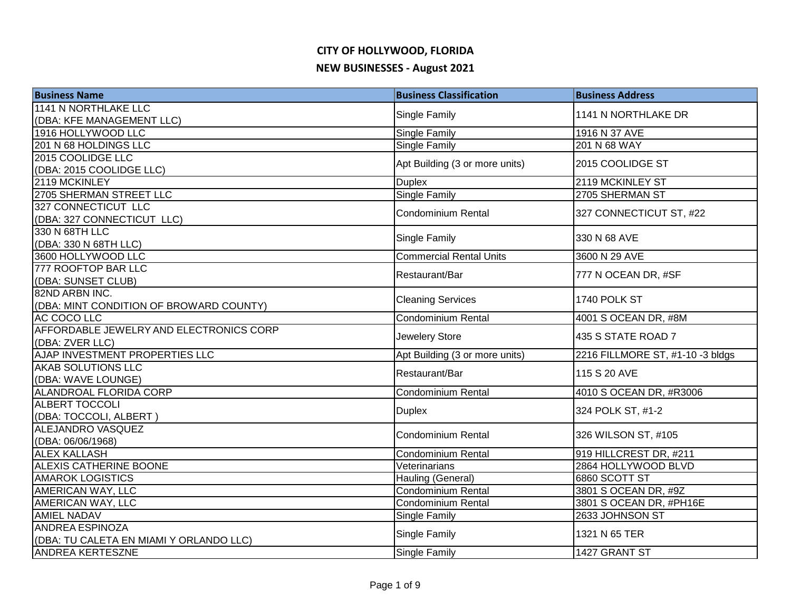| <b>Business Name</b>                    | <b>Business Classification</b> | <b>Business Address</b>          |
|-----------------------------------------|--------------------------------|----------------------------------|
| <b>1141 N NORTHLAKE LLC</b>             |                                | 1141 N NORTHLAKE DR              |
| (DBA: KFE MANAGEMENT LLC)               | Single Family                  |                                  |
| 1916 HOLLYWOOD LLC                      | <b>Single Family</b>           | 1916 N 37 AVE                    |
| 201 N 68 HOLDINGS LLC                   | <b>Single Family</b>           | 201 N 68 WAY                     |
| 2015 COOLIDGE LLC                       | Apt Building (3 or more units) | 2015 COOLIDGE ST                 |
| (DBA: 2015 COOLIDGE LLC)                |                                |                                  |
| 2119 MCKINLEY                           | <b>Duplex</b>                  | 2119 MCKINLEY ST                 |
| 2705 SHERMAN STREET LLC                 | Single Family                  | 2705 SHERMAN ST                  |
| 327 CONNECTICUT LLC                     | <b>Condominium Rental</b>      | 327 CONNECTICUT ST, #22          |
| (DBA: 327 CONNECTICUT LLC)              |                                |                                  |
| 330 N 68TH LLC                          | Single Family                  | 330 N 68 AVE                     |
| (DBA: 330 N 68TH LLC)                   |                                |                                  |
| 3600 HOLLYWOOD LLC                      | <b>Commercial Rental Units</b> | 3600 N 29 AVE                    |
| 777 ROOFTOP BAR LLC                     | Restaurant/Bar                 | 777 N OCEAN DR, #SF              |
| (DBA: SUNSET CLUB)                      |                                |                                  |
| 82ND ARBN INC.                          | <b>Cleaning Services</b>       | 1740 POLK ST                     |
| (DBA: MINT CONDITION OF BROWARD COUNTY) |                                |                                  |
| AC COCO LLC                             | Condominium Rental             | 4001 S OCEAN DR, #8M             |
| AFFORDABLE JEWELRY AND ELECTRONICS CORP | Jewelery Store                 | 435 S STATE ROAD 7               |
| (DBA: ZVER LLC)                         |                                |                                  |
| AJAP INVESTMENT PROPERTIES LLC          | Apt Building (3 or more units) | 2216 FILLMORE ST, #1-10 -3 bldgs |
| AKAB SOLUTIONS LLC                      | Restaurant/Bar                 | 115 S 20 AVE                     |
| (DBA: WAVE LOUNGE)                      |                                |                                  |
| ALANDROAL FLORIDA CORP                  | Condominium Rental             | 4010 S OCEAN DR, #R3006          |
| <b>ALBERT TOCCOLI</b>                   | <b>Duplex</b>                  | 324 POLK ST, #1-2                |
| (DBA: TOCCOLI, ALBERT)                  |                                |                                  |
| ALEJANDRO VASQUEZ                       | <b>Condominium Rental</b>      | 326 WILSON ST, #105              |
| (DBA: 06/06/1968)                       |                                |                                  |
| <b>ALEX KALLASH</b>                     | <b>Condominium Rental</b>      | 919 HILLCREST DR, #211           |
| ALEXIS CATHERINE BOONE                  | Veterinarians                  | 2864 HOLLYWOOD BLVD              |
| <b>AMAROK LOGISTICS</b>                 | Hauling (General)              | 6860 SCOTT ST                    |
| AMERICAN WAY, LLC                       | Condominium Rental             | 3801 S OCEAN DR, #9Z             |
| AMERICAN WAY, LLC                       | Condominium Rental             | 3801 S OCEAN DR, #PH16E          |
| <b>AMIEL NADAV</b>                      | Single Family                  | 2633 JOHNSON ST                  |
| <b>ANDREA ESPINOZA</b>                  | Single Family                  | 1321 N 65 TER                    |
| (DBA: TU CALETA EN MIAMI Y ORLANDO LLC) |                                |                                  |
| <b>ANDREA KERTESZNE</b>                 | Single Family                  | 1427 GRANT ST                    |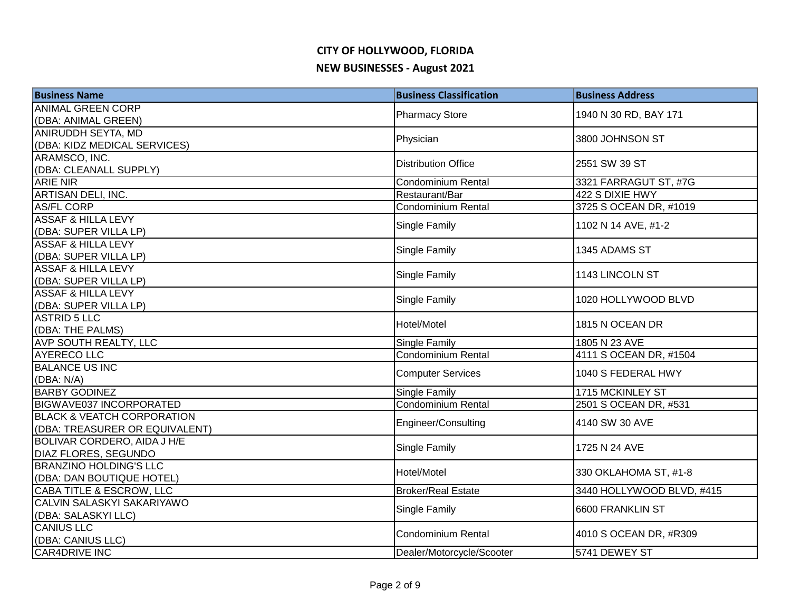| <b>Business Name</b>                  | <b>Business Classification</b> | <b>Business Address</b>   |
|---------------------------------------|--------------------------------|---------------------------|
| <b>ANIMAL GREEN CORP</b>              |                                | 1940 N 30 RD, BAY 171     |
| (DBA: ANIMAL GREEN)                   | <b>Pharmacy Store</b>          |                           |
| ANIRUDDH SEYTA, MD                    | Physician                      | 3800 JOHNSON ST           |
| (DBA: KIDZ MEDICAL SERVICES)          |                                |                           |
| ARAMSCO, INC.                         | <b>Distribution Office</b>     | 2551 SW 39 ST             |
| (DBA: CLEANALL SUPPLY)                |                                |                           |
| <b>ARIE NIR</b>                       | <b>Condominium Rental</b>      | 3321 FARRAGUT ST, #7G     |
| ARTISAN DELI, INC.                    | Restaurant/Bar                 | 422 S DIXIE HWY           |
| <b>AS/FL CORP</b>                     | <b>Condominium Rental</b>      | 3725 S OCEAN DR, #1019    |
| <b>ASSAF &amp; HILLA LEVY</b>         | Single Family                  | 1102 N 14 AVE, #1-2       |
| (DBA: SUPER VILLA LP)                 |                                |                           |
| <b>ASSAF &amp; HILLA LEVY</b>         | Single Family                  | 1345 ADAMS ST             |
| (DBA: SUPER VILLA LP)                 |                                |                           |
| <b>ASSAF &amp; HILLA LEVY</b>         | Single Family                  | 1143 LINCOLN ST           |
| (DBA: SUPER VILLA LP)                 |                                |                           |
| <b>ASSAF &amp; HILLA LEVY</b>         | Single Family                  | 1020 HOLLYWOOD BLVD       |
| (DBA: SUPER VILLA LP)                 |                                |                           |
| <b>ASTRID 5 LLC</b>                   | Hotel/Motel                    | 1815 N OCEAN DR           |
| (DBA: THE PALMS)                      |                                |                           |
| AVP SOUTH REALTY, LLC                 | <b>Single Family</b>           | 1805 N 23 AVE             |
| <b>AYERECO LLC</b>                    | <b>Condominium Rental</b>      | 4111 S OCEAN DR, #1504    |
| <b>BALANCE US INC</b>                 | <b>Computer Services</b>       | 1040 S FEDERAL HWY        |
| (DBA: N/A)                            |                                |                           |
| <b>BARBY GODINEZ</b>                  | <b>Single Family</b>           | 1715 MCKINLEY ST          |
| <b>BIGWAVE037 INCORPORATED</b>        | <b>Condominium Rental</b>      | 2501 S OCEAN DR, #531     |
| <b>BLACK &amp; VEATCH CORPORATION</b> | Engineer/Consulting            | 4140 SW 30 AVE            |
| (DBA: TREASURER OR EQUIVALENT)        |                                |                           |
| BOLIVAR CORDERO, AIDA J H/E           | Single Family                  | 1725 N 24 AVE             |
| DIAZ FLORES, SEGUNDO                  |                                |                           |
| <b>BRANZINO HOLDING'S LLC</b>         | Hotel/Motel                    | 330 OKLAHOMA ST, #1-8     |
| (DBA: DAN BOUTIQUE HOTEL)             |                                |                           |
| CABA TITLE & ESCROW, LLC              | <b>Broker/Real Estate</b>      | 3440 HOLLYWOOD BLVD, #415 |
| CALVIN SALASKYI SAKARIYAWO            | Single Family                  | 6600 FRANKLIN ST          |
| (DBA: SALASKYI LLC)                   |                                |                           |
| <b>CANIUS LLC</b>                     | <b>Condominium Rental</b>      | 4010 S OCEAN DR, #R309    |
| (DBA: CANIUS LLC)                     |                                |                           |
| CAR4DRIVE INC                         | Dealer/Motorcycle/Scooter      | 5741 DEWEY ST             |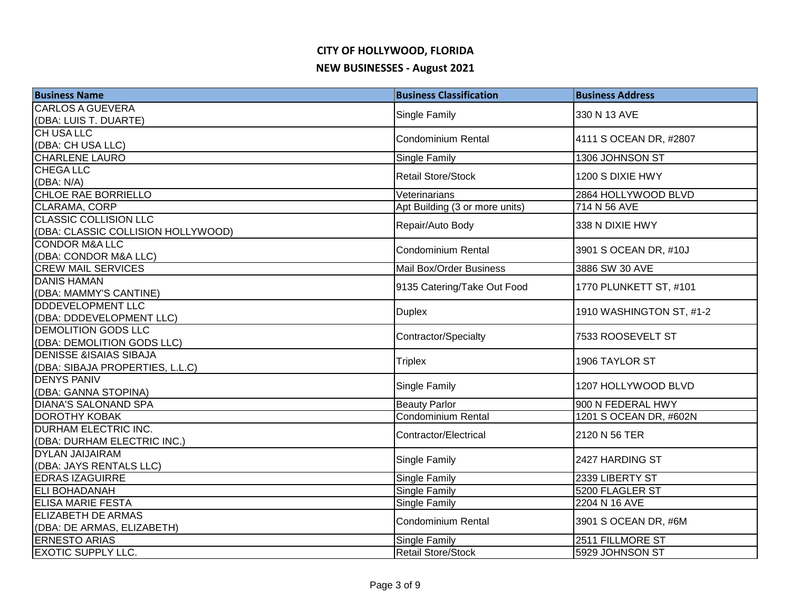| <b>Business Name</b>                                   | <b>Business Classification</b> | <b>Business Address</b>  |
|--------------------------------------------------------|--------------------------------|--------------------------|
| <b>CARLOS A GUEVERA</b>                                | Single Family                  | 330 N 13 AVE             |
| (DBA: LUIS T. DUARTE)                                  |                                |                          |
| <b>CH USA LLC</b>                                      | <b>Condominium Rental</b>      | 4111 S OCEAN DR, #2807   |
| (DBA: CH USA LLC)                                      |                                |                          |
| <b>CHARLENE LAURO</b>                                  | Single Family                  | 1306 JOHNSON ST          |
| <b>CHEGALLC</b>                                        | <b>Retail Store/Stock</b>      | 1200 S DIXIE HWY         |
| (DBA: N/A)                                             |                                |                          |
| CHLOE RAE BORRIELLO                                    | Veterinarians                  | 2864 HOLLYWOOD BLVD      |
| CLARAMA, CORP                                          | Apt Building (3 or more units) | 714 N 56 AVE             |
| <b>CLASSIC COLLISION LLC</b>                           | Repair/Auto Body               | 338 N DIXIE HWY          |
| (DBA: CLASSIC COLLISION HOLLYWOOD)                     |                                |                          |
| <b>CONDOR M&amp;A LLC</b>                              | Condominium Rental             | 3901 S OCEAN DR, #10J    |
| (DBA: CONDOR M&A LLC)                                  |                                |                          |
| <b>CREW MAIL SERVICES</b>                              | Mail Box/Order Business        | 3886 SW 30 AVE           |
| <b>DANIS HAMAN</b>                                     | 9135 Catering/Take Out Food    | 1770 PLUNKETT ST, #101   |
| (DBA: MAMMY'S CANTINE)<br><b>DDDEVELOPMENT LLC</b>     |                                |                          |
|                                                        | <b>Duplex</b>                  | 1910 WASHINGTON ST, #1-2 |
| (DBA: DDDEVELOPMENT LLC)<br><b>DEMOLITION GODS LLC</b> |                                |                          |
| (DBA: DEMOLITION GODS LLC)                             | Contractor/Specialty           | 7533 ROOSEVELT ST        |
| <b>DENISSE &amp;ISAIAS SIBAJA</b>                      |                                |                          |
| (DBA: SIBAJA PROPERTIES, L.L.C)                        | <b>Triplex</b>                 | 1906 TAYLOR ST           |
| <b>DENYS PANIV</b>                                     |                                | 1207 HOLLYWOOD BLVD      |
| (DBA: GANNA STOPINA)                                   | Single Family                  |                          |
| <b>DIANA'S SALONAND SPA</b>                            | <b>Beauty Parlor</b>           | 900 N FEDERAL HWY        |
| <b>DOROTHY KOBAK</b>                                   | <b>Condominium Rental</b>      | 1201 S OCEAN DR, #602N   |
| DURHAM ELECTRIC INC.                                   |                                |                          |
| (DBA: DURHAM ELECTRIC INC.)                            | Contractor/Electrical          | 2120 N 56 TER            |
| <b>DYLAN JAIJAIRAM</b>                                 |                                | 2427 HARDING ST          |
| (DBA: JAYS RENTALS LLC)                                | Single Family                  |                          |
| <b>EDRAS IZAGUIRRE</b>                                 | Single Family                  | 2339 LIBERTY ST          |
| <b>ELI BOHADANAH</b>                                   | <b>Single Family</b>           | 5200 FLAGLER ST          |
| <b>ELISA MARIE FESTA</b>                               | Single Family                  | 2204 N 16 AVE            |
| <b>ELIZABETH DE ARMAS</b>                              | Condominium Rental             | 3901 S OCEAN DR, #6M     |
| (DBA: DE ARMAS, ELIZABETH)                             |                                |                          |
| <b>ERNESTO ARIAS</b>                                   | Single Family                  | 2511 FILLMORE ST         |
| <b>EXOTIC SUPPLY LLC.</b>                              | <b>Retail Store/Stock</b>      | 5929 JOHNSON ST          |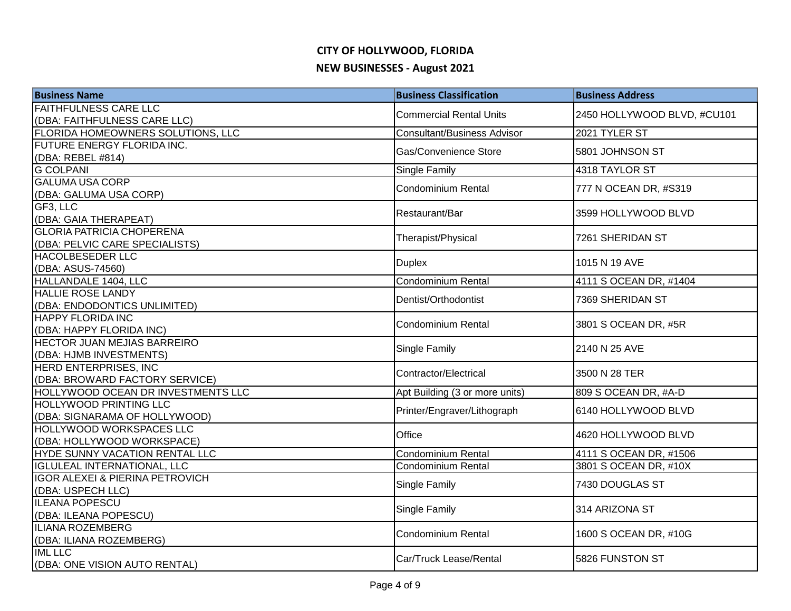| <b>Business Name</b>                                      | <b>Business Classification</b>     | <b>Business Address</b>     |
|-----------------------------------------------------------|------------------------------------|-----------------------------|
| <b>FAITHFULNESS CARE LLC</b>                              | <b>Commercial Rental Units</b>     | 2450 HOLLYWOOD BLVD, #CU101 |
| (DBA: FAITHFULNESS CARE LLC)                              |                                    |                             |
| FLORIDA HOMEOWNERS SOLUTIONS, LLC                         | <b>Consultant/Business Advisor</b> | 2021 TYLER ST               |
| FUTURE ENERGY FLORIDA INC.                                | Gas/Convenience Store              | 5801 JOHNSON ST             |
| (DBA: REBEL #814)                                         |                                    |                             |
| <b>G COLPANI</b>                                          | Single Family                      | 4318 TAYLOR ST              |
| <b>GALUMA USA CORP</b>                                    | <b>Condominium Rental</b>          | 777 N OCEAN DR, #S319       |
| (DBA: GALUMA USA CORP)<br>GF3, LLC                        |                                    |                             |
| (DBA: GAIA THERAPEAT)                                     | Restaurant/Bar                     | 3599 HOLLYWOOD BLVD         |
| <b>GLORIA PATRICIA CHOPERENA</b>                          |                                    |                             |
| (DBA: PELVIC CARE SPECIALISTS)                            | Therapist/Physical                 | 7261 SHERIDAN ST            |
| HACOLBESEDER LLC                                          |                                    |                             |
| (DBA: ASUS-74560)                                         | <b>Duplex</b>                      | 1015 N 19 AVE               |
| HALLANDALE 1404, LLC                                      | <b>Condominium Rental</b>          | 4111 S OCEAN DR, #1404      |
| <b>HALLIE ROSE LANDY</b>                                  | Dentist/Orthodontist               | 7369 SHERIDAN ST            |
| (DBA: ENDODONTICS UNLIMITED)                              |                                    |                             |
| <b>HAPPY FLORIDA INC</b>                                  | <b>Condominium Rental</b>          | 3801 S OCEAN DR, #5R        |
| (DBA: HAPPY FLORIDA INC)                                  |                                    |                             |
| <b>HECTOR JUAN MEJIAS BARREIRO</b>                        | Single Family                      | 2140 N 25 AVE               |
| (DBA: HJMB INVESTMENTS)                                   |                                    |                             |
| HERD ENTERPRISES, INC                                     | Contractor/Electrical              | 3500 N 28 TER               |
| (DBA: BROWARD FACTORY SERVICE)                            |                                    |                             |
| HOLLYWOOD OCEAN DR INVESTMENTS LLC                        | Apt Building (3 or more units)     | 809 S OCEAN DR, #A-D        |
| <b>HOLLYWOOD PRINTING LLC</b>                             | Printer/Engraver/Lithograph        | 6140 HOLLYWOOD BLVD         |
| (DBA: SIGNARAMA OF HOLLYWOOD)<br>HOLLYWOOD WORKSPACES LLC |                                    |                             |
| (DBA: HOLLYWOOD WORKSPACE)                                | Office                             | 4620 HOLLYWOOD BLVD         |
| HYDE SUNNY VACATION RENTAL LLC                            | Condominium Rental                 | 4111 S OCEAN DR, #1506      |
| <b>IGLULEAL INTERNATIONAL, LLC</b>                        | <b>Condominium Rental</b>          | 3801 S OCEAN DR, #10X       |
| <b>IGOR ALEXEI &amp; PIERINA PETROVICH</b>                |                                    |                             |
| (DBA: USPECH LLC)                                         | Single Family                      | 7430 DOUGLAS ST             |
| <b>ILEANA POPESCU</b>                                     |                                    |                             |
| (DBA: ILEANA POPESCU)                                     | <b>Single Family</b>               | 314 ARIZONA ST              |
| <b>ILIANA ROZEMBERG</b>                                   | <b>Condominium Rental</b>          | 1600 S OCEAN DR, #10G       |
| (DBA: ILIANA ROZEMBERG)                                   |                                    |                             |
| <b>IML LLC</b>                                            | Car/Truck Lease/Rental             | <b>I</b> 5826 FUNSTON ST    |
| (DBA: ONE VISION AUTO RENTAL)                             |                                    |                             |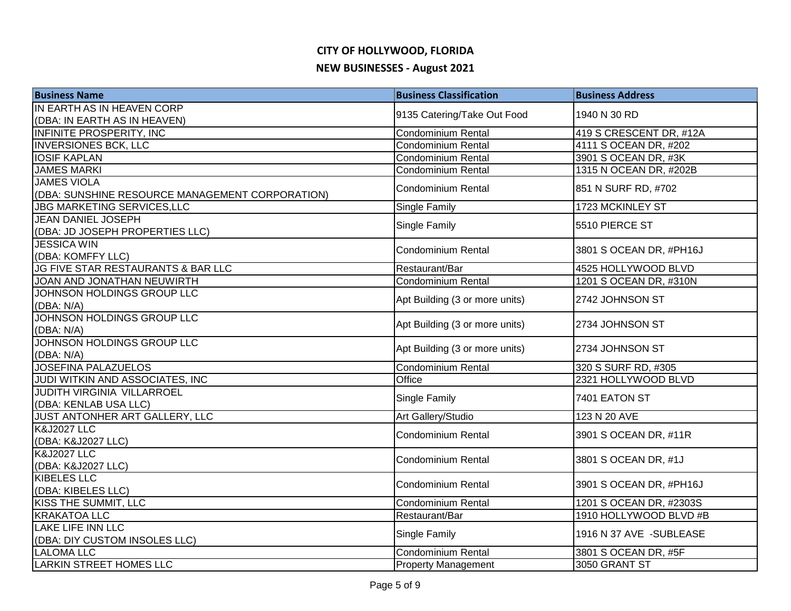| <b>Business Name</b>                            | <b>Business Classification</b> | <b>Business Address</b> |
|-------------------------------------------------|--------------------------------|-------------------------|
| IN EARTH AS IN HEAVEN CORP                      |                                | 1940 N 30 RD            |
| (DBA: IN EARTH AS IN HEAVEN)                    | 9135 Catering/Take Out Food    |                         |
| <b>INFINITE PROSPERITY, INC</b>                 | <b>Condominium Rental</b>      | 419 S CRESCENT DR, #12A |
| <b>INVERSIONES BCK, LLC</b>                     | <b>Condominium Rental</b>      | 4111 S OCEAN DR, #202   |
| <b>IOSIF KAPLAN</b>                             | <b>Condominium Rental</b>      | 3901 S OCEAN DR, #3K    |
| <b>JAMES MARKI</b>                              | Condominium Rental             | 1315 N OCEAN DR, #202B  |
| <b>JAMES VIOLA</b>                              | Condominium Rental             | 851 N SURF RD, #702     |
| (DBA: SUNSHINE RESOURCE MANAGEMENT CORPORATION) |                                |                         |
| <b>JBG MARKETING SERVICES, LLC</b>              | Single Family                  | 1723 MCKINLEY ST        |
| <b>JEAN DANIEL JOSEPH</b>                       | Single Family                  | 5510 PIERCE ST          |
| (DBA: JD JOSEPH PROPERTIES LLC)                 |                                |                         |
| <b>JESSICA WIN</b>                              | <b>Condominium Rental</b>      | 3801 S OCEAN DR, #PH16J |
| (DBA: KOMFFY LLC)                               |                                |                         |
| JG FIVE STAR RESTAURANTS & BAR LLC              | Restaurant/Bar                 | 4525 HOLLYWOOD BLVD     |
| JOAN AND JONATHAN NEUWIRTH                      | Condominium Rental             | 1201 S OCEAN DR, #310N  |
| JOHNSON HOLDINGS GROUP LLC                      | Apt Building (3 or more units) | 2742 JOHNSON ST         |
| (DBA: N/A)                                      |                                |                         |
| JOHNSON HOLDINGS GROUP LLC                      | Apt Building (3 or more units) | 2734 JOHNSON ST         |
| (DBA: N/A)                                      |                                |                         |
| JOHNSON HOLDINGS GROUP LLC                      | Apt Building (3 or more units) | 2734 JOHNSON ST         |
| (DBA: N/A)                                      |                                |                         |
| <b>JOSEFINA PALAZUELOS</b>                      | Condominium Rental             | 320 S SURF RD, #305     |
| JUDI WITKIN AND ASSOCIATES, INC                 | Office                         | 2321 HOLLYWOOD BLVD     |
| <b>JUDITH VIRGINIA VILLARROEL</b>               | <b>Single Family</b>           | 7401 EATON ST           |
| (DBA: KENLAB USA LLC)                           |                                |                         |
| JUST ANTONHER ART GALLERY, LLC                  | Art Gallery/Studio             | 123 N 20 AVE            |
| <b>K&amp;J2027 LLC</b>                          | Condominium Rental             | 3901 S OCEAN DR, #11R   |
| (DBA: K&J2027 LLC)                              |                                |                         |
| <b>K&amp;J2027 LLC</b>                          | <b>Condominium Rental</b>      | 3801 S OCEAN DR, #1J    |
| (DBA: K&J2027 LLC)                              |                                |                         |
| <b>KIBELES LLC</b>                              | <b>Condominium Rental</b>      | 3901 S OCEAN DR, #PH16J |
| (DBA: KIBELES LLC)                              |                                |                         |
| KISS THE SUMMIT, LLC                            | <b>Condominium Rental</b>      | 1201 S OCEAN DR, #2303S |
| <b>KRAKATOA LLC</b>                             | Restaurant/Bar                 | 1910 HOLLYWOOD BLVD #B  |
| <b>LAKE LIFE INN LLC</b>                        | <b>Single Family</b>           | 1916 N 37 AVE -SUBLEASE |
| (DBA: DIY CUSTOM INSOLES LLC)                   |                                |                         |
| <b>LALOMA LLC</b>                               | <b>Condominium Rental</b>      | 3801 S OCEAN DR, #5F    |
| <b>LARKIN STREET HOMES LLC</b>                  | <b>Property Management</b>     | 3050 GRANT ST           |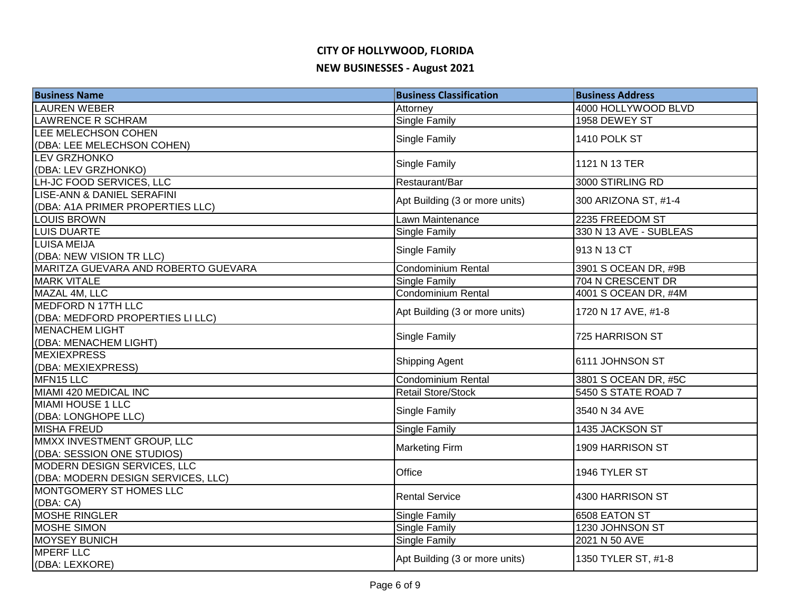# **CITY OF HOLLYWOOD, FLORIDA**

#### **NEW BUSINESSES - August 2021**

| <b>Business Name</b>                | <b>Business Classification</b>                         | <b>Business Address</b>                     |
|-------------------------------------|--------------------------------------------------------|---------------------------------------------|
| <b>LAUREN WEBER</b>                 | Attorney                                               | 4000 HOLLYWOOD BLVD                         |
| <b>LAWRENCE R SCHRAM</b>            | Single Family                                          | 1958 DEWEY ST                               |
| LEE MELECHSON COHEN                 | Single Family                                          | 1410 POLK ST                                |
| (DBA: LEE MELECHSON COHEN)          |                                                        |                                             |
| <b>LEV GRZHONKO</b>                 | <b>Single Family</b>                                   | 1121 N 13 TER                               |
| (DBA: LEV GRZHONKO)                 |                                                        |                                             |
| LH-JC FOOD SERVICES, LLC            | Restaurant/Bar                                         | 3000 STIRLING RD                            |
| LISE-ANN & DANIEL SERAFINI          | Apt Building (3 or more units)                         | 300 ARIZONA ST, #1-4                        |
| (DBA: A1A PRIMER PROPERTIES LLC)    |                                                        |                                             |
| <b>LOUIS BROWN</b>                  | Lawn Maintenance                                       | 2235 FREEDOM ST                             |
| <b>LUIS DUARTE</b>                  | Single Family                                          | 330 N 13 AVE - SUBLEAS                      |
| <b>LUISA MEIJA</b>                  | Single Family                                          | 913 N 13 CT                                 |
| (DBA: NEW VISION TR LLC)            |                                                        |                                             |
| MARITZA GUEVARA AND ROBERTO GUEVARA | Condominium Rental                                     | 3901 S OCEAN DR, #9B                        |
| <b>MARK VITALE</b>                  | Single Family                                          | 704 N CRESCENT DR                           |
| MAZAL 4M, LLC                       | Condominium Rental                                     | 4001 S OCEAN DR, #4M                        |
| <b>MEDFORD N 17TH LLC</b>           | Apt Building (3 or more units)                         | 1720 N 17 AVE, #1-8                         |
| (DBA: MEDFORD PROPERTIES LI LLC)    |                                                        |                                             |
| <b>MENACHEM LIGHT</b>               | Single Family                                          | 725 HARRISON ST                             |
| (DBA: MENACHEM LIGHT)               |                                                        |                                             |
| <b>MEXIEXPRESS</b>                  | Shipping Agent                                         | 6111 JOHNSON ST                             |
| (DBA: MEXIEXPRESS)                  |                                                        |                                             |
| MFN15 LLC<br>MIAMI 420 MEDICAL INC  | <b>Condominium Rental</b><br><b>Retail Store/Stock</b> | 3801 S OCEAN DR, #5C<br>5450 S STATE ROAD 7 |
| <b>MIAMI HOUSE 1 LLC</b>            |                                                        |                                             |
| (DBA: LONGHOPE LLC)                 | Single Family                                          | 3540 N 34 AVE                               |
| <b>MISHA FREUD</b>                  | Single Family                                          | 1435 JACKSON ST                             |
| MMXX INVESTMENT GROUP, LLC          |                                                        |                                             |
| (DBA: SESSION ONE STUDIOS)          | <b>Marketing Firm</b>                                  | 1909 HARRISON ST                            |
| MODERN DESIGN SERVICES, LLC         |                                                        |                                             |
| (DBA: MODERN DESIGN SERVICES, LLC)  | Office                                                 | 1946 TYLER ST                               |
| MONTGOMERY ST HOMES LLC             |                                                        |                                             |
| (DBA: CA)                           | <b>Rental Service</b>                                  | 4300 HARRISON ST                            |
| <b>MOSHE RINGLER</b>                | Single Family                                          | 6508 EATON ST                               |
| <b>MOSHE SIMON</b>                  | Single Family                                          | 1230 JOHNSON ST                             |
| <b>MOYSEY BUNICH</b>                | Single Family                                          | 2021 N 50 AVE                               |
| <b>MPERF LLC</b>                    |                                                        |                                             |
| (DBA: LEXKORE)                      | Apt Building (3 or more units)                         | 1350 TYLER ST, #1-8                         |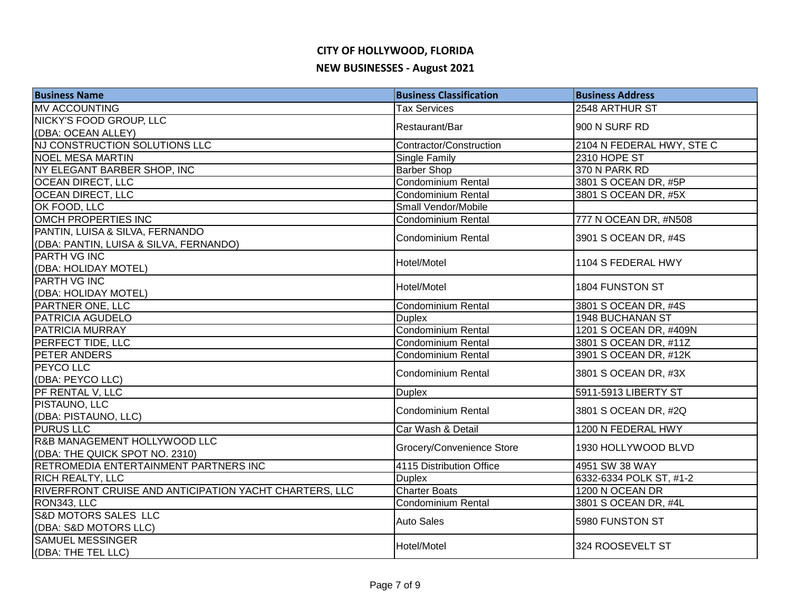# **CITY OF HOLLYWOOD, FLORIDA**

#### **NEW BUSINESSES - August 2021**

| <b>Business Name</b>                                   | <b>Business Classification</b> | <b>Business Address</b>   |
|--------------------------------------------------------|--------------------------------|---------------------------|
| <b>MV ACCOUNTING</b>                                   | <b>Tax Services</b>            | 2548 ARTHUR ST            |
| NICKY'S FOOD GROUP, LLC                                | Restaurant/Bar                 |                           |
| (DBA: OCEAN ALLEY)                                     |                                | 900 N SURF RD             |
| NJ CONSTRUCTION SOLUTIONS LLC                          | Contractor/Construction        | 2104 N FEDERAL HWY, STE C |
| <b>NOEL MESA MARTIN</b>                                | Single Family                  | 2310 HOPE ST              |
| NY ELEGANT BARBER SHOP, INC                            | <b>Barber Shop</b>             | 370 N PARK RD             |
| <b>OCEAN DIRECT, LLC</b>                               | Condominium Rental             | 3801 S OCEAN DR, #5P      |
| <b>OCEAN DIRECT, LLC</b>                               | <b>Condominium Rental</b>      | 3801 S OCEAN DR, #5X      |
| OK FOOD, LLC                                           | Small Vendor/Mobile            |                           |
| OMCH PROPERTIES INC                                    | <b>Condominium Rental</b>      | 777 N OCEAN DR, #N508     |
| PANTIN, LUISA & SILVA, FERNANDO                        | <b>Condominium Rental</b>      | 3901 S OCEAN DR, #4S      |
| (DBA: PANTIN, LUISA & SILVA, FERNANDO)                 |                                |                           |
| <b>PARTH VG INC</b>                                    | Hotel/Motel                    | 1104 S FEDERAL HWY        |
| (DBA: HOLIDAY MOTEL)                                   |                                |                           |
| PARTH VG INC                                           | Hotel/Motel                    |                           |
| (DBA: HOLIDAY MOTEL)                                   |                                | 1804 FUNSTON ST           |
| PARTNER ONE, LLC                                       | Condominium Rental             | 3801 S OCEAN DR, #4S      |
| PATRICIA AGUDELO                                       | <b>Duplex</b>                  | <b>1948 BUCHANAN ST</b>   |
| PATRICIA MURRAY                                        | Condominium Rental             | 1201 S OCEAN DR, #409N    |
| <b>PERFECT TIDE, LLC</b>                               | Condominium Rental             | 3801 S OCEAN DR, #11Z     |
| PETER ANDERS                                           | Condominium Rental             | 3901 S OCEAN DR, #12K     |
| <b>PEYCO LLC</b>                                       |                                |                           |
| (DBA: PEYCO LLC)                                       | Condominium Rental             | 3801 S OCEAN DR, #3X      |
| PF RENTAL V, LLC                                       | <b>Duplex</b>                  | 5911-5913 LIBERTY ST      |
| PISTAUNO, LLC                                          |                                |                           |
| (DBA: PISTAUNO, LLC)                                   | <b>Condominium Rental</b>      | 3801 S OCEAN DR, #2Q      |
| <b>PURUS LLC</b>                                       | Car Wash & Detail              | 1200 N FEDERAL HWY        |
| R&B MANAGEMENT HOLLYWOOD LLC                           |                                |                           |
| (DBA: THE QUICK SPOT NO. 2310)                         | Grocery/Convenience Store      | 1930 HOLLYWOOD BLVD       |
| RETROMEDIA ENTERTAINMENT PARTNERS INC                  | 4115 Distribution Office       | 4951 SW 38 WAY            |
| <b>RICH REALTY, LLC</b>                                | <b>Duplex</b>                  | 6332-6334 POLK ST, #1-2   |
| RIVERFRONT CRUISE AND ANTICIPATION YACHT CHARTERS, LLC | <b>Charter Boats</b>           | 1200 N OCEAN DR           |
| RON343, LLC                                            | <b>Condominium Rental</b>      | 3801 S OCEAN DR, #4L      |
| <b>S&amp;D MOTORS SALES LLC</b>                        |                                |                           |
| (DBA: S&D MOTORS LLC)                                  | <b>Auto Sales</b>              | 5980 FUNSTON ST           |
| <b>SAMUEL MESSINGER</b>                                |                                | 324 ROOSEVELT ST          |
| (DBA: THE TEL LLC)                                     | Hotel/Motel                    |                           |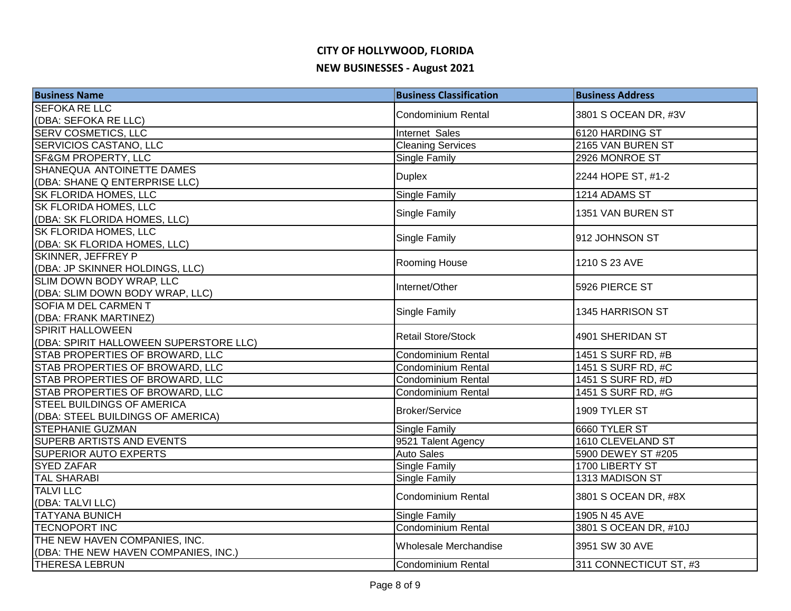| <b>Business Name</b>                   | <b>Business Classification</b> | <b>Business Address</b> |
|----------------------------------------|--------------------------------|-------------------------|
| <b>SEFOKA RE LLC</b>                   | <b>Condominium Rental</b>      | 3801 S OCEAN DR, #3V    |
| (DBA: SEFOKA RE LLC)                   |                                |                         |
| <b>SERV COSMETICS, LLC</b>             | Internet Sales                 | 6120 HARDING ST         |
| <b>SERVICIOS CASTANO, LLC</b>          | <b>Cleaning Services</b>       | 2165 VAN BUREN ST       |
| <b>SF&amp;GM PROPERTY, LLC</b>         | <b>Single Family</b>           | 2926 MONROE ST          |
| SHANEQUA ANTOINETTE DAMES              | <b>Duplex</b>                  | 2244 HOPE ST, #1-2      |
| (DBA: SHANE Q ENTERPRISE LLC)          |                                |                         |
| <b>SK FLORIDA HOMES, LLC</b>           | Single Family                  | 1214 ADAMS ST           |
| <b>SK FLORIDA HOMES, LLC</b>           | Single Family                  | 1351 VAN BUREN ST       |
| (DBA: SK FLORIDA HOMES, LLC)           |                                |                         |
| <b>SK FLORIDA HOMES, LLC</b>           | Single Family                  | 912 JOHNSON ST          |
| (DBA: SK FLORIDA HOMES, LLC)           |                                |                         |
| SKINNER, JEFFREY P                     | Rooming House                  | 1210 S 23 AVE           |
| (DBA: JP SKINNER HOLDINGS, LLC)        |                                |                         |
| SLIM DOWN BODY WRAP, LLC               | Internet/Other                 | 5926 PIERCE ST          |
| (DBA: SLIM DOWN BODY WRAP, LLC)        |                                |                         |
| <b>SOFIA M DEL CARMEN T</b>            | Single Family                  | 1345 HARRISON ST        |
| (DBA: FRANK MARTINEZ)                  |                                |                         |
| <b>SPIRIT HALLOWEEN</b>                | <b>Retail Store/Stock</b>      | 4901 SHERIDAN ST        |
| (DBA: SPIRIT HALLOWEEN SUPERSTORE LLC) |                                |                         |
| STAB PROPERTIES OF BROWARD, LLC        | <b>Condominium Rental</b>      | 1451 S SURF RD, #B      |
| STAB PROPERTIES OF BROWARD, LLC        | Condominium Rental             | 1451 S SURF RD, #C      |
| STAB PROPERTIES OF BROWARD, LLC        | Condominium Rental             | 1451 S SURF RD, #D      |
| STAB PROPERTIES OF BROWARD, LLC        | <b>Condominium Rental</b>      | 1451 S SURF RD, #G      |
| <b>STEEL BUILDINGS OF AMERICA</b>      | <b>Broker/Service</b>          | 1909 TYLER ST           |
| (DBA: STEEL BUILDINGS OF AMERICA)      |                                |                         |
| <b>STEPHANIE GUZMAN</b>                | Single Family                  | 6660 TYLER ST           |
| <b>SUPERB ARTISTS AND EVENTS</b>       | 9521 Talent Agency             | 1610 CLEVELAND ST       |
| <b>SUPERIOR AUTO EXPERTS</b>           | <b>Auto Sales</b>              | 5900 DEWEY ST #205      |
| <b>SYED ZAFAR</b>                      | <b>Single Family</b>           | 1700 LIBERTY ST         |
| <b>TAL SHARABI</b>                     | Single Family                  | 1313 MADISON ST         |
| <b>TALVILLC</b>                        | <b>Condominium Rental</b>      | 3801 S OCEAN DR, #8X    |
| (DBA: TALVI LLC)                       |                                |                         |
| <b>TATYANA BUNICH</b>                  | <b>Single Family</b>           | 1905 N 45 AVE           |
| <b>TECNOPORT INC</b>                   | <b>Condominium Rental</b>      | 3801 S OCEAN DR, #10J   |
| THE NEW HAVEN COMPANIES, INC.          | Wholesale Merchandise          | 3951 SW 30 AVE          |
| (DBA: THE NEW HAVEN COMPANIES, INC.)   |                                |                         |
| <b>THERESA LEBRUN</b>                  | Condominium Rental             | 311 CONNECTICUT ST, #3  |